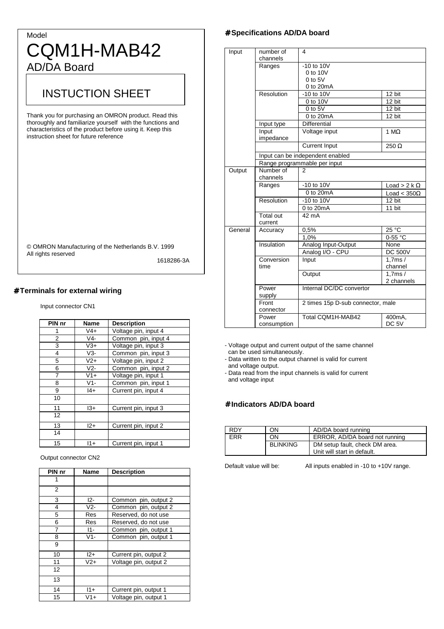# Model CQM1H-MAB42 AD/DA Board

# INSTUCTION SHEET

Thank you for purchasing an OMRON product. Read this thoroughly and familiarize yourself with the functions and characteristics of the product before using it. Keep this instruction sheet for future reference

| © OMRON Manufacturing of the Netherlands B.V. 1999 |  |
|----------------------------------------------------|--|
| All rights reserved                                |  |

1618286-3A

### # **Terminals for external wiring**

Input connector CN1

| PIN nr | Name   | <b>Description</b>   |
|--------|--------|----------------------|
| 1      | V4+    | Voltage pin, input 4 |
| 2      | $V4-$  | Common pin, input 4  |
| 3      | $V3+$  | Voltage pin, input 3 |
| 4      | $V3-$  | Common pin, input 3  |
| 5      | $V2+$  | Voltage pin, input 2 |
| 6      | $V2-$  | Common pin, input 2  |
| 7      | $V1+$  | Voltage pin, input 1 |
| 8      | $V1 -$ | Common pin, input 1  |
| 9      | $ 4+$  | Current pin, input 4 |
| 10     |        |                      |
| 11     | l3+    | Current pin, input 3 |
| 12     |        |                      |
| 13     | $12+$  | Current pin, input 2 |
| 14     |        |                      |
| 15     | $11+$  | Current pin, input 1 |

#### Output connector CN2

| PIN nr | Name   | <b>Description</b>    |
|--------|--------|-----------------------|
| 1      |        |                       |
| 2      |        |                       |
| 3      | I2-    | Common pin, output 2  |
| 4      | $V2 -$ | Common pin, output 2  |
| 5      | Res    | Reserved, do not use  |
| 6      | Res    | Reserved, do not use  |
| 7      | 11-    | Common pin, output 1  |
| 8      | $V1-$  | Common pin, output 1  |
| 9      |        |                       |
| 10     | $12+$  | Current pin, output 2 |
| 11     | V2+    | Voltage pin, output 2 |
| 12     |        |                       |
| 13     |        |                       |
| 14     | $11+$  | Current pin, output 1 |
| 15     | $V1+$  | Voltage pin, output 1 |

### # **Specifications AD/DA board**

| Input   | number of<br>channels       | 4                                 |                     |  |  |  |  |  |  |
|---------|-----------------------------|-----------------------------------|---------------------|--|--|--|--|--|--|
|         | Ranges                      | $-10$ to $10V$                    |                     |  |  |  |  |  |  |
|         |                             | 0 to 10V                          |                     |  |  |  |  |  |  |
|         |                             | $0$ to $5V$                       |                     |  |  |  |  |  |  |
|         |                             | 0 to 20mA                         |                     |  |  |  |  |  |  |
|         | Resolution                  | $-10$ to $10V$                    | $12 \text{ bit}$    |  |  |  |  |  |  |
|         |                             | 0 to 10V                          | 12 bit              |  |  |  |  |  |  |
|         |                             | $0$ to $5V$                       | 12 bit              |  |  |  |  |  |  |
|         |                             | 0 to 20mA                         | 12 bit              |  |  |  |  |  |  |
|         | Input type                  | <b>Differential</b>               |                     |  |  |  |  |  |  |
|         | Input                       | Voltage input                     | 1 $M\Omega$         |  |  |  |  |  |  |
|         | impedance                   |                                   |                     |  |  |  |  |  |  |
|         |                             | <b>Current Input</b>              | 250 $\Omega$        |  |  |  |  |  |  |
|         |                             | Input can be independent enabled  |                     |  |  |  |  |  |  |
|         |                             | Range programmable per input      |                     |  |  |  |  |  |  |
| Output  | Number of<br>channels       | 2                                 |                     |  |  |  |  |  |  |
|         | Ranges                      | $-10$ to $10V$                    | Load > 2 k $\Omega$ |  |  |  |  |  |  |
|         |                             | 0 to 20mA                         | Load < $350\Omega$  |  |  |  |  |  |  |
|         | Resolution                  | $-10$ to $10V$                    | 12 bit              |  |  |  |  |  |  |
|         |                             | 0 to 20mA                         | 11 bit              |  |  |  |  |  |  |
|         | <b>Total out</b><br>current | 42 mA                             |                     |  |  |  |  |  |  |
| General | Accuracy                    | 0,5%                              | 25 °C               |  |  |  |  |  |  |
|         |                             | 1,0%                              | 0-55 °C             |  |  |  |  |  |  |
|         | Insulation                  | Analog Input-Output               | None                |  |  |  |  |  |  |
|         |                             | Analog I/O - CPU                  | <b>DC 500V</b>      |  |  |  |  |  |  |
|         | Conversion                  | Input                             | 1.7ms/              |  |  |  |  |  |  |
|         | time                        |                                   | channel             |  |  |  |  |  |  |
|         |                             | Output                            | 1.7ms/              |  |  |  |  |  |  |
|         |                             |                                   | 2 channels          |  |  |  |  |  |  |
|         | Power                       | Internal DC/DC convertor          |                     |  |  |  |  |  |  |
|         | supply                      |                                   |                     |  |  |  |  |  |  |
|         | Front                       | 2 times 15p D-sub connector, male |                     |  |  |  |  |  |  |
|         | connector                   |                                   |                     |  |  |  |  |  |  |
|         | Power                       | Total COM1H-MAB42                 | 400mA.              |  |  |  |  |  |  |
|         | consumption                 |                                   | DC <sub>5V</sub>    |  |  |  |  |  |  |

- Voltage output and current output of the same channel can be used simultaneously.

- Data written to the output channel is valid for current and voltage output.

- Data read from the input channels is valid for current and voltage input

## # **Indicators AD/DA board**

| <b>RDY</b> | OΝ              | AD/DA board running            |
|------------|-----------------|--------------------------------|
| <b>FRR</b> | ON              | ERROR, AD/DA board not running |
|            | <b>BLINKING</b> | DM setup fault, check DM area. |
|            |                 | Unit will start in default.    |

Default value will be: All inputs enabled in -10 to +10V range.